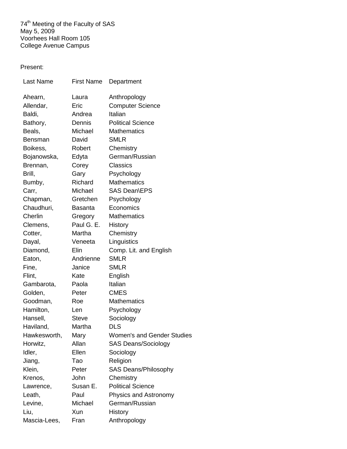74<sup>th</sup> Meeting of the Faculty of SAS May 5, 2009 Voorhees Hall Room 105 College Avenue Campus

## Present:

| <b>Last Name</b> | <b>First Name</b> | Department                        |
|------------------|-------------------|-----------------------------------|
| Ahearn,          | Laura             | Anthropology                      |
| Allendar,        | Eric              | <b>Computer Science</b>           |
| Baldi,           | Andrea            | Italian                           |
| Bathory,         | Dennis            | <b>Political Science</b>          |
| Beals,           | Michael           | <b>Mathematics</b>                |
| Bensman          | David             | <b>SMLR</b>                       |
| Boikess,         | Robert            | Chemistry                         |
| Bojanowska,      | Edyta             | German/Russian                    |
| Brennan,         | Corey             | <b>Classics</b>                   |
| Brill,           | Gary              | Psychology                        |
| Bumby,           | Richard           | <b>Mathematics</b>                |
| Carr,            | Michael           | SAS Dean\EPS                      |
| Chapman,         | Gretchen          | Psychology                        |
| Chaudhuri,       | <b>Basanta</b>    | Economics                         |
| Cherlin          | Gregory           | <b>Mathematics</b>                |
| Clemens,         | Paul G. E.        | History                           |
| Cotter,          | Martha            | Chemistry                         |
| Dayal,           | Veneeta           | Linguistics                       |
| Diamond,         | Elin              | Comp. Lit. and English            |
| Eaton,           | Andrienne         | <b>SMLR</b>                       |
| Fine,            | Janice            | <b>SMLR</b>                       |
| Flint,           | Kate              | English                           |
| Gambarota,       | Paola             | Italian                           |
| Golden,          | Peter             | <b>CMES</b>                       |
| Goodman,         | Roe               | <b>Mathematics</b>                |
| Hamilton,        | Len               | Psychology                        |
| Hansell,         | <b>Steve</b>      | Sociology                         |
| Haviland,        | Martha            | <b>DLS</b>                        |
| Hawkesworth,     | Mary              | <b>Women's and Gender Studies</b> |
| Horwitz,         | Allan             | <b>SAS Deans/Sociology</b>        |
| Idler,           | Ellen             | Sociology                         |
| Jiang,           | Tao               | Religion                          |
| Klein,           | Peter             | <b>SAS Deans/Philosophy</b>       |
| Krenos,          | John              | Chemistry                         |
| Lawrence,        | Susan E.          | <b>Political Science</b>          |
| Leath,           | Paul              | Physics and Astronomy             |
| Levine,          | Michael           | German/Russian                    |
| Liu,             | Xun               | History                           |
| Mascia-Lees,     | Fran              | Anthropology                      |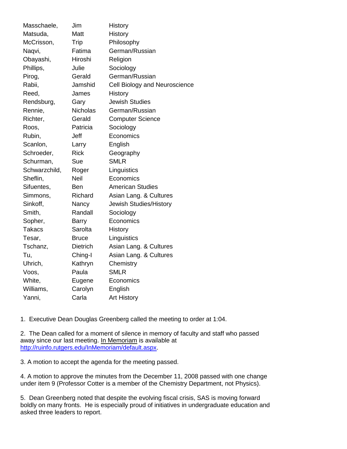| Masschaele,   | Jim             | History                       |
|---------------|-----------------|-------------------------------|
| Matsuda,      | Matt            | <b>History</b>                |
| McCrisson,    | Trip            | Philosophy                    |
| Naqvi,        | Fatima          | German/Russian                |
| Obayashi,     | Hiroshi         | Religion                      |
| Phillips,     | Julie           | Sociology                     |
| Pirog,        | Gerald          | German/Russian                |
| Rabii,        | Jamshid         | Cell Biology and Neuroscience |
| Reed,         | James           | <b>History</b>                |
| Rendsburg,    | Gary            | <b>Jewish Studies</b>         |
| Rennie,       | <b>Nicholas</b> | German/Russian                |
| Richter,      | Gerald          | <b>Computer Science</b>       |
| Roos,         | Patricia        | Sociology                     |
| Rubin,        | Jeff            | Economics                     |
| Scanlon,      | Larry           | English                       |
| Schroeder,    | <b>Rick</b>     | Geography                     |
| Schurman,     | Sue             | <b>SMLR</b>                   |
| Schwarzchild, | Roger           | Linguistics                   |
| Sheflin,      | Neil            | Economics                     |
| Sifuentes,    | Ben             | <b>American Studies</b>       |
| Simmons,      | Richard         | Asian Lang. & Cultures        |
| Sinkoff,      | Nancy           | Jewish Studies/History        |
| Smith,        | Randall         | Sociology                     |
| Sopher,       | Barry           | Economics                     |
| <b>Takacs</b> | Sarolta         | History                       |
| Tesar,        | <b>Bruce</b>    | Linguistics                   |
| Tschanz,      | <b>Dietrich</b> | Asian Lang. & Cultures        |
| Tu,           | Ching-I         | Asian Lang. & Cultures        |
| Uhrich,       | Kathryn         | Chemistry                     |
| Voos,         | Paula           | <b>SMLR</b>                   |
| White,        | Eugene          | Economics                     |
| Williams,     | Carolyn         | English                       |
| Yanni,        | Carla           | <b>Art History</b>            |

1. Executive Dean Douglas Greenberg called the meeting to order at 1:04.

2. The Dean called for a moment of silence in memory of faculty and staff who passed away since our last meeting. In Memoriam is available at [http://ruinfo.rutgers.edu/InMemoriam/default.aspx.](http://ruinfo.rutgers.edu/InMemoriam/default.aspx)

3. A motion to accept the agenda for the meeting passed.

4. A motion to approve the minutes from the December 11, 2008 passed with one change under item 9 (Professor Cotter is a member of the Chemistry Department, not Physics).

5. Dean Greenberg noted that despite the evolving fiscal crisis, SAS is moving forward boldly on many fronts. He is especially proud of initiatives in undergraduate education and asked three leaders to report.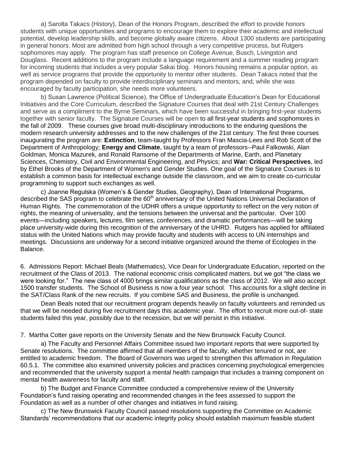a) Sarolta Takacs (History), Dean of the Honors Program, described the effort to provide honors students with unique opportunities and programs to encourage them to explore their academic and intellectual potential, develop leadership skills, and become globally aware citizens. About 1300 students are participating in general honors. Most are admitted from high school through a very competitive process, but Rutgers sophomores may apply. The program has staff presence on College Avenue, Busch, Livingston and Douglass. Recent additions to the program include a language requirement and a summer reading program for incoming students that includes a very popular Sakai blog. Honors housing remains a popular option, as well as service programs that provide the opportunity to mentor other students. Dean Takacs noted that the program depended on faculty to provide interdisciplinary seminars and mentors, and, while she was encouraged by faculty participation, she needs more volunteers.

b) Susan Lawrence (Political Science), the Office of Undergraduate Education's Dean for Educational Initiatives and the Core Curriculum, described the Signature Courses that deal with 21st Century Challenges and serve as a compliment to the Byrne Seminars, which have been successful in bringing first-year students together with senior faculty. The Signature Courses will be open to all first-year students and sophomores in the fall of 2009. These courses give broad multi-disciplinary introductions to the enduring questions the modern research university addresses and to the new challenges of the 21st century. The first three courses inaugurating the program are: **Extinction**, team-taught by Professors Fran Mascia-Lees and Rob Scott of the Department of Anthropology; **Energy and Climate**, taught by a team of professors--Paul Falkowski, Alan Goldman, Monica Mazurek, and Ronald Ransome of the Departments of Marine, Earth, and Planetary Sciences, Chemistry, Civil and Environmental Engineering, and Physics; and **War: Critical Perspectives**, led by Ethel Brooks of the Department of Women's and Gender Studies. One goal of the Signature Courses is to establish a common basis for intellectual exchange outside the classroom, and we aim to create co-curricular programming to support such exchanges as well.

c) Joanne Regulska (Women's & Gender Studies, Geography), Dean of International Programs, described the SAS program to celebrate the 60<sup>th</sup> anniversary of the United Nations Universal Declaration of Human Rights. The commemoration of the UDHR offers a unique opportunity to reflect on the very notion of rights, the meaning of universality, and the tensions between the universal and the particular. Over 100 events—including speakers, lectures, film series, conferences, and dramatic performances—will be taking place university-wide during this recognition of the anniversary of the UHRD. Rutgers has applied for affiliated status with the United Nations which may provide faculty and students with access to UN internships and meetings. Discussions are underway for a second initiative organized around the theme of Ecologies in the Balance.

6. Admissions Report: Michael Beals (Mathematics), Vice Dean for Undergraduate Education, reported on the recruitment of the Class of 2013. The national economic crisis complicated matters, but we got "the class we were looking for." The new class of 4000 brings similar qualifications as the class of 2012. We will also accept 1500 transfer students. The School of Business is now a four year school. This accounts for a slight decline in the SAT/Class Rank of the new recruits. If you combine SAS and Business, the profile is unchanged.

Dean Beals noted that our recruitment program depends heavily on faculty volunteers and reminded us that we will be needed during five recruitment days this academic year. The effort to recruit more out-of- state students failed this year, possibly due to the recession, but we will persist in this initiative.

7. Martha Cotter gave reports on the University Senate and the New Brunswick Faculty Council.

a) The Faculty and Personnel Affairs Committee issued two important reports that were supported by Senate resolutions. The committee affirmed that all members of the faculty, whether tenured or not, are entitled to academic freedom. The Board of Governors was urged to strengthen this affirmation in Regulation 60.5.1. The committee also examined university policies and practices concerning psychological emergencies and recommended that the university support a mental health campaign that includes a training component on mental health awareness for faculty and staff.

b) The Budget and Finance Committee conducted a comprehensive review of the University Foundation's fund raising operating and recommended changes in the fees assessed to support the Foundation as well as a number of other changes and initiatives in fund raising.

c) The New Brunswick Faculty Council passed resolutions supporting the Committee on Academic Standards' recommendations that our academic integrity policy should establish maximum feasible student